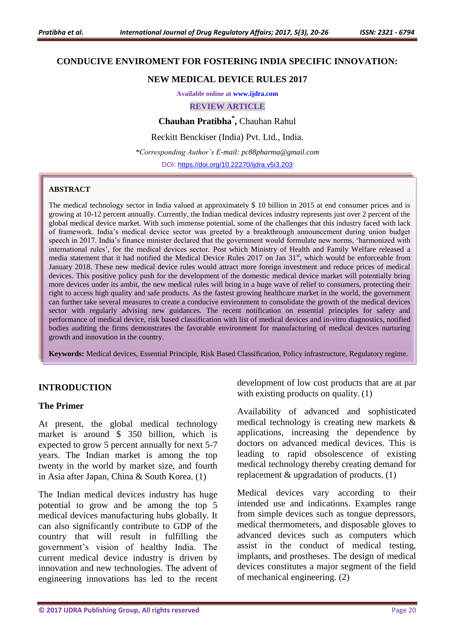#### **CONDUCIVE ENVIROMENT FOR FOSTERING INDIA SPECIFIC INNOVATION:**

#### **NEW MEDICAL DEVICE RULES 2017**

**Available online at [www.ijdra.com](http://www.ijdra.com/)**

**REVIEW ARTICLE**

**Chauhan Pratibha\* ,** Chauhan Rahul

Reckitt Benckiser (India) Pvt. Ltd., India.

*\*Corresponding Author's E-mail: pc88pharma@gmail.com* DOI: <https://doi.org/10.22270/ijdra.v5i3.203>

#### **ABSTRACT**

The medical technology sector in India valued at approximately \$ 10 billion in 2015 at end consumer prices and is growing at 10-12 percent annually. Currently, the Indian medical devices industry represents just over 2 percent of the global medical device market. With such immense potential, some of the challenges that this industry faced with lack of framework. India's medical device sector was greeted by a breakthrough announcement during union budget speech in 2017. India's finance minister declared that the government would formulate new norms, 'harmonized with international rules', for the medical devices sector. Post which Ministry of Health and Family Welfare released a media statement that it had notified the Medical Device Rules 2017 on Jan 31<sup>st</sup>, which would be enforceable from January 2018. These new medical device rules would attract more foreign investment and reduce prices of medical devices. This positive policy push for the development of the domestic medical device market will potentially bring more devices under its ambit, the new medical rules will bring in a huge wave of relief to consumers, protecting their right to access high quality and safe products. As the fastest growing healthcare market in the world, the government can further take several measures to create a conducive environment to consolidate the growth of the medical devices sector with regularly advising new guidances. The recent notification on essential principles for safety and performance of medical device, risk based classification with list of medical devices and in-vitro diagnostics, notified bodies auditing the firms demonstrates the favorable environment for manufacturing of medical devices nurturing growth and innovation in the country.

**Keywords:** Medical devices, Essential Principle, Risk Based Classification, Policy infrastructure, Regulatory regime.

#### **INTRODUCTION**

#### **The Primer**

At present, the global medical technology market is around \$ 350 billion, which is expected to grow 5 percent annually for next 5-7 years. The Indian market is among the top twenty in the world by market size, and fourth in Asia after Japan, China & South Korea. (1)

The Indian medical devices industry has huge potential to grow and be among the top 5 medical devices manufacturing hubs globally. It can also significantly contribute to GDP of the country that will result in fulfilling the government's vision of healthy India. The current medical device industry is driven by innovation and new technologies. The advent of engineering innovations has led to the recent development of low cost products that are at par with existing products on quality. (1)

Availability of advanced and sophisticated medical technology is creating new markets & applications, increasing the dependence by doctors on advanced medical devices. This is leading to rapid obsolescence of existing medical technology thereby creating demand for replacement & upgradation of products. (1)

Medical devices vary according to their intended use and indications. Examples range from simple devices such as tongue depressors, medical thermometers, and disposable gloves to advanced devices such as computers which assist in the conduct of medical testing, implants, and prostheses. The design of medical devices constitutes a major segment of the field of mechanical engineering. (2)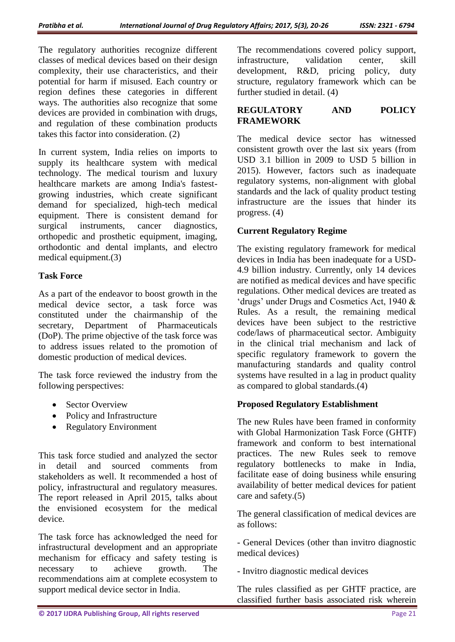The regulatory authorities recognize different classes of medical devices based on their design complexity, their use characteristics, and their potential for harm if misused. Each country or region defines these categories in different ways. The authorities also recognize that some devices are provided in combination with drugs, and regulation of these combination products takes this factor into consideration. (2)

In current system, India relies on imports to supply its healthcare system with medical technology. The medical tourism and luxury healthcare markets are among India's fastestgrowing industries, which create significant demand for specialized, high-tech medical equipment. There is consistent demand for surgical instruments, cancer diagnostics, orthopedic and prosthetic equipment, imaging, orthodontic and dental implants, and electro medical equipment.(3)

## **Task Force**

As a part of the endeavor to boost growth in the medical device sector, a task force was constituted under the chairmanship of the secretary, Department of Pharmaceuticals (DoP). The prime objective of the task force was to address issues related to the promotion of domestic production of medical devices.

The task force reviewed the industry from the following perspectives:

- Sector Overview
- Policy and Infrastructure
- Regulatory Environment

This task force studied and analyzed the sector in detail and sourced comments from stakeholders as well. It recommended a host of policy, infrastructural and regulatory measures. The report released in April 2015, talks about the envisioned ecosystem for the medical device.

The task force has acknowledged the need for infrastructural development and an appropriate mechanism for efficacy and safety testing is necessary to achieve growth. The recommendations aim at complete ecosystem to support medical device sector in India.

The recommendations covered policy support, infrastructure, validation center, skill development, R&D, pricing policy, duty structure, regulatory framework which can be further studied in detail. (4)

## **REGULATORY AND POLICY FRAMEWORK**

The medical device sector has witnessed consistent growth over the last six years (from USD 3.1 billion in 2009 to USD 5 billion in 2015). However, factors such as inadequate regulatory systems, non-alignment with global standards and the lack of quality product testing infrastructure are the issues that hinder its progress. (4)

# **Current Regulatory Regime**

The existing regulatory framework for medical devices in India has been inadequate for a USD-4.9 billion industry. Currently, only 14 devices are notified as medical devices and have specific regulations. Other medical devices are treated as 'drugs' under Drugs and Cosmetics Act, 1940 & Rules. As a result, the remaining medical devices have been subject to the restrictive code/laws of pharmaceutical sector. Ambiguity in the clinical trial mechanism and lack of specific regulatory framework to govern the manufacturing standards and quality control systems have resulted in a lag in product quality as compared to global standards.(4)

## **Proposed Regulatory Establishment**

The new Rules have been framed in conformity with Global Harmonization Task Force (GHTF) framework and conform to best international practices. The new Rules seek to remove regulatory bottlenecks to make in India, facilitate ease of doing business while ensuring availability of better medical devices for patient care and safety.(5)

The general classification of medical devices are as follows:

- General Devices (other than invitro diagnostic medical devices)

- Invitro diagnostic medical devices

The rules classified as per GHTF practice, are classified further basis associated risk wherein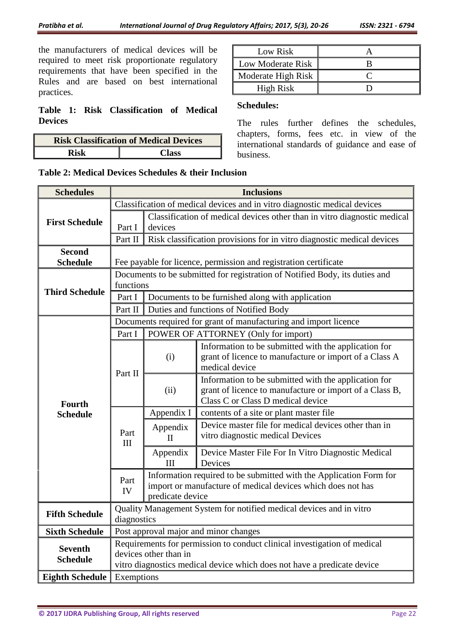the manufacturers of medical devices will be required to meet risk proportionate regulatory requirements that have been specified in the Rules and are based on best international practices.

#### **Table 1: Risk Classification of Medical Devices**

| <b>Risk Classification of Medical Devices</b> |              |  |
|-----------------------------------------------|--------------|--|
| Rick                                          | <b>Class</b> |  |

| Low Risk                 |  |
|--------------------------|--|
| <b>Low Moderate Risk</b> |  |
| Moderate High Risk       |  |
| <b>High Risk</b>         |  |

## **Schedules:**

The rules further defines the schedules, chapters, forms, fees etc. in view of the international standards of guidance and ease of business.

**Table 2: Medical Devices Schedules & their Inclusion**

| <b>Schedules</b>                  | <b>Inclusions</b>                                                                                                                                                            |                                                                                                                                                       |                                                                                                                                                      |  |
|-----------------------------------|------------------------------------------------------------------------------------------------------------------------------------------------------------------------------|-------------------------------------------------------------------------------------------------------------------------------------------------------|------------------------------------------------------------------------------------------------------------------------------------------------------|--|
|                                   | Classification of medical devices and in vitro diagnostic medical devices                                                                                                    |                                                                                                                                                       |                                                                                                                                                      |  |
| <b>First Schedule</b>             |                                                                                                                                                                              | Classification of medical devices other than in vitro diagnostic medical                                                                              |                                                                                                                                                      |  |
|                                   | Part I                                                                                                                                                                       | devices                                                                                                                                               |                                                                                                                                                      |  |
|                                   | Part II                                                                                                                                                                      |                                                                                                                                                       | Risk classification provisions for in vitro diagnostic medical devices                                                                               |  |
| <b>Second</b>                     |                                                                                                                                                                              |                                                                                                                                                       |                                                                                                                                                      |  |
| <b>Schedule</b>                   |                                                                                                                                                                              |                                                                                                                                                       | Fee payable for licence, permission and registration certificate                                                                                     |  |
| <b>Third Schedule</b>             | Documents to be submitted for registration of Notified Body, its duties and<br>functions                                                                                     |                                                                                                                                                       |                                                                                                                                                      |  |
|                                   | Part I                                                                                                                                                                       | Documents to be furnished along with application                                                                                                      |                                                                                                                                                      |  |
|                                   | Part II                                                                                                                                                                      | Duties and functions of Notified Body                                                                                                                 |                                                                                                                                                      |  |
|                                   | Documents required for grant of manufacturing and import licence                                                                                                             |                                                                                                                                                       |                                                                                                                                                      |  |
|                                   | Part I                                                                                                                                                                       |                                                                                                                                                       | POWER OF ATTORNEY (Only for import)                                                                                                                  |  |
| <b>Fourth</b>                     | Part II                                                                                                                                                                      | (i)                                                                                                                                                   | Information to be submitted with the application for<br>grant of licence to manufacture or import of a Class A<br>medical device                     |  |
|                                   |                                                                                                                                                                              | (ii)                                                                                                                                                  | Information to be submitted with the application for<br>grant of licence to manufacture or import of a Class B,<br>Class C or Class D medical device |  |
| <b>Schedule</b>                   |                                                                                                                                                                              | Appendix I                                                                                                                                            | contents of a site or plant master file                                                                                                              |  |
|                                   | Part<br>III                                                                                                                                                                  | Appendix<br>$\mathbf{I}$                                                                                                                              | Device master file for medical devices other than in<br>vitro diagnostic medical Devices                                                             |  |
|                                   |                                                                                                                                                                              | Appendix<br>Ш                                                                                                                                         | Device Master File For In Vitro Diagnostic Medical<br>Devices                                                                                        |  |
|                                   | Part<br>IV                                                                                                                                                                   | Information required to be submitted with the Application Form for<br>import or manufacture of medical devices which does not has<br>predicate device |                                                                                                                                                      |  |
| <b>Fifth Schedule</b>             | Quality Management System for notified medical devices and in vitro<br>diagnostics                                                                                           |                                                                                                                                                       |                                                                                                                                                      |  |
| <b>Sixth Schedule</b>             |                                                                                                                                                                              |                                                                                                                                                       | Post approval major and minor changes                                                                                                                |  |
| <b>Seventh</b><br><b>Schedule</b> | Requirements for permission to conduct clinical investigation of medical<br>devices other than in<br>vitro diagnostics medical device which does not have a predicate device |                                                                                                                                                       |                                                                                                                                                      |  |
| <b>Eighth Schedule</b>            | Exemptions                                                                                                                                                                   |                                                                                                                                                       |                                                                                                                                                      |  |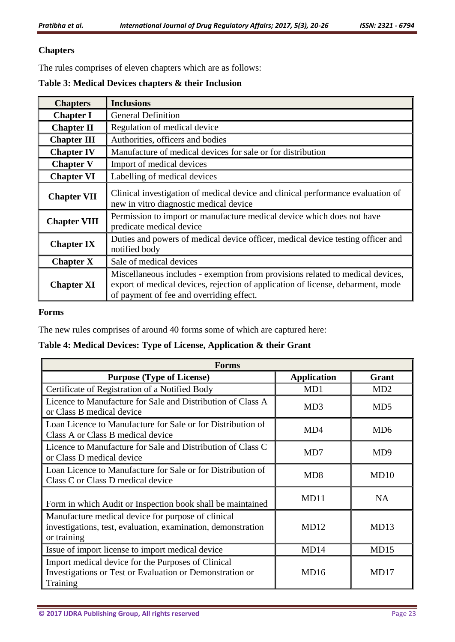## **Chapters**

The rules comprises of eleven chapters which are as follows:

#### **Table 3: Medical Devices chapters & their Inclusion**

| <b>Chapters</b>     | <b>Inclusions</b>                                                                                                                                                                                             |
|---------------------|---------------------------------------------------------------------------------------------------------------------------------------------------------------------------------------------------------------|
| <b>Chapter I</b>    | <b>General Definition</b>                                                                                                                                                                                     |
| <b>Chapter II</b>   | Regulation of medical device                                                                                                                                                                                  |
| <b>Chapter III</b>  | Authorities, officers and bodies                                                                                                                                                                              |
| <b>Chapter IV</b>   | Manufacture of medical devices for sale or for distribution                                                                                                                                                   |
| <b>Chapter V</b>    | Import of medical devices                                                                                                                                                                                     |
| <b>Chapter VI</b>   | Labelling of medical devices                                                                                                                                                                                  |
| <b>Chapter VII</b>  | Clinical investigation of medical device and clinical performance evaluation of<br>new in vitro diagnostic medical device                                                                                     |
| <b>Chapter VIII</b> | Permission to import or manufacture medical device which does not have<br>predicate medical device                                                                                                            |
| <b>Chapter IX</b>   | Duties and powers of medical device officer, medical device testing officer and<br>notified body                                                                                                              |
| <b>Chapter X</b>    | Sale of medical devices                                                                                                                                                                                       |
| <b>Chapter XI</b>   | Miscellaneous includes - exemption from provisions related to medical devices,<br>export of medical devices, rejection of application of license, debarment, mode<br>of payment of fee and overriding effect. |

#### **Forms**

The new rules comprises of around 40 forms some of which are captured here:

# **Table 4: Medical Devices: Type of License, Application & their Grant**

| <b>Forms</b>                                                                                                                      |                    |                 |  |  |  |
|-----------------------------------------------------------------------------------------------------------------------------------|--------------------|-----------------|--|--|--|
| <b>Purpose (Type of License)</b>                                                                                                  | <b>Application</b> | Grant           |  |  |  |
| Certificate of Registration of a Notified Body                                                                                    | MD1                | MD2             |  |  |  |
| Licence to Manufacture for Sale and Distribution of Class A<br>or Class B medical device                                          | MD3                | MD <sub>5</sub> |  |  |  |
| Loan Licence to Manufacture for Sale or for Distribution of<br>Class A or Class B medical device                                  | MD4                | MD <sub>6</sub> |  |  |  |
| Licence to Manufacture for Sale and Distribution of Class C<br>or Class D medical device                                          | MD7                | MD <sub>9</sub> |  |  |  |
| Loan Licence to Manufacture for Sale or for Distribution of<br>Class C or Class D medical device                                  | MD <sub>8</sub>    | MD10            |  |  |  |
| Form in which Audit or Inspection book shall be maintained                                                                        | MD11               | <b>NA</b>       |  |  |  |
| Manufacture medical device for purpose of clinical<br>investigations, test, evaluation, examination, demonstration<br>or training | MD12               | MD13            |  |  |  |
| Issue of import license to import medical device                                                                                  | MD14               | MD15            |  |  |  |
| Import medical device for the Purposes of Clinical<br>Investigations or Test or Evaluation or Demonstration or<br>Training        | MD16               | MD17            |  |  |  |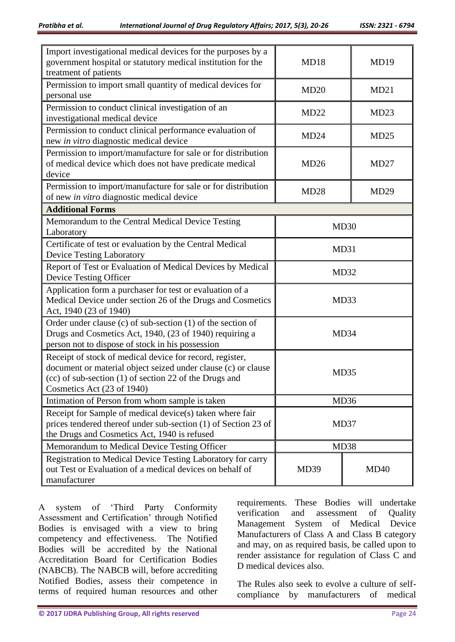| Import investigational medical devices for the purposes by a<br>government hospital or statutory medical institution for the<br>treatment of patients                                                             | MD18         | MD19 |  |  |  |
|-------------------------------------------------------------------------------------------------------------------------------------------------------------------------------------------------------------------|--------------|------|--|--|--|
| Permission to import small quantity of medical devices for<br>personal use                                                                                                                                        | MD20         | MD21 |  |  |  |
| Permission to conduct clinical investigation of an<br>investigational medical device                                                                                                                              | MD22         | MD23 |  |  |  |
| Permission to conduct clinical performance evaluation of<br>new in vitro diagnostic medical device                                                                                                                | MD24         | MD25 |  |  |  |
| Permission to import/manufacture for sale or for distribution<br>of medical device which does not have predicate medical<br>device                                                                                | MD26         | MD27 |  |  |  |
| Permission to import/manufacture for sale or for distribution<br>MD28<br>of new in vitro diagnostic medical device                                                                                                |              | MD29 |  |  |  |
| <b>Additional Forms</b>                                                                                                                                                                                           |              |      |  |  |  |
| Memorandum to the Central Medical Device Testing<br>Laboratory                                                                                                                                                    | MD30         |      |  |  |  |
| Certificate of test or evaluation by the Central Medical<br><b>Device Testing Laboratory</b>                                                                                                                      | MD31         |      |  |  |  |
| Report of Test or Evaluation of Medical Devices by Medical<br>Device Testing Officer                                                                                                                              | MD32         |      |  |  |  |
| Application form a purchaser for test or evaluation of a<br>Medical Device under section 26 of the Drugs and Cosmetics<br>Act, 1940 (23 of 1940)                                                                  | MD33         |      |  |  |  |
| Order under clause (c) of sub-section $(1)$ of the section of<br>Drugs and Cosmetics Act, 1940, (23 of 1940) requiring a<br>person not to dispose of stock in his possession                                      | MD34         |      |  |  |  |
| Receipt of stock of medical device for record, register,<br>document or material object seized under clause (c) or clause<br>(cc) of sub-section (1) of section 22 of the Drugs and<br>Cosmetics Act (23 of 1940) | MD35         |      |  |  |  |
| Intimation of Person from whom sample is taken                                                                                                                                                                    | MD36         |      |  |  |  |
| Receipt for Sample of medical device(s) taken where fair<br>prices tendered thereof under sub-section (1) of Section 23 of<br>the Drugs and Cosmetics Act, 1940 is refused                                        | MD37         |      |  |  |  |
| Memorandum to Medical Device Testing Officer                                                                                                                                                                      | MD38         |      |  |  |  |
| Registration to Medical Device Testing Laboratory for carry<br>out Test or Evaluation of a medical devices on behalf of<br>manufacturer                                                                           | MD39<br>MD40 |      |  |  |  |

A system of 'Third Party Conformity Assessment and Certification' through Notified Bodies is envisaged with a view to bring competency and effectiveness. The Notified Bodies will be accredited by the National Accreditation Board for Certification Bodies (NABCB). The NABCB will, before accrediting Notified Bodies, assess their competence in terms of required human resources and other

requirements. These Bodies will undertake verification and assessment of Quality Management System of Medical Device Manufacturers of Class A and Class B category and may, on as required basis, be called upon to render assistance for regulation of Class C and D medical devices also.

The Rules also seek to evolve a culture of selfcompliance by manufacturers of medical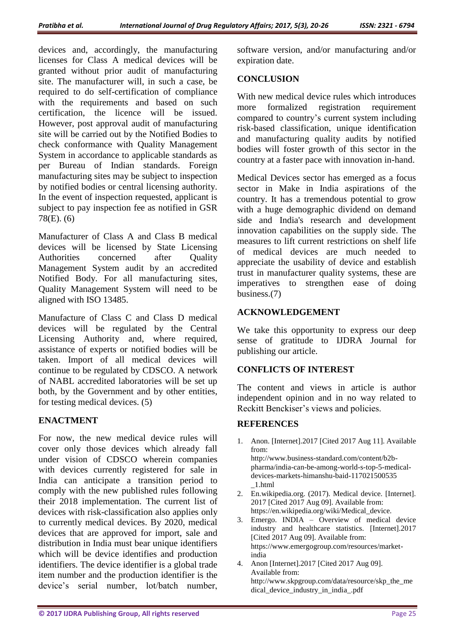devices and, accordingly, the manufacturing licenses for Class A medical devices will be granted without prior audit of manufacturing site. The manufacturer will, in such a case, be required to do self-certification of compliance with the requirements and based on such certification, the licence will be issued. However, post approval audit of manufacturing site will be carried out by the Notified Bodies to check conformance with Quality Management System in accordance to applicable standards as per Bureau of Indian standards. Foreign manufacturing sites may be subject to inspection by notified bodies or central licensing authority. In the event of inspection requested, applicant is subject to pay inspection fee as notified in GSR 78(E). (6)

Manufacturer of Class A and Class B medical devices will be licensed by State Licensing Authorities concerned after Quality Management System audit by an accredited Notified Body. For all manufacturing sites, Quality Management System will need to be aligned with ISO 13485.

Manufacture of Class C and Class D medical devices will be regulated by the Central Licensing Authority and, where required, assistance of experts or notified bodies will be taken. Import of all medical devices will continue to be regulated by CDSCO. A network of NABL accredited laboratories will be set up both, by the Government and by other entities, for testing medical devices. (5)

## **ENACTMENT**

For now, the new medical device rules will cover only those devices which already fall under vision of CDSCO wherein companies with devices currently registered for sale in India can anticipate a transition period to comply with the new published rules following their 2018 implementation. The current list of devices with risk-classification also applies only to currently medical devices. By 2020, medical devices that are approved for import, sale and distribution in India must bear unique identifiers which will be device identifies and production identifiers. The device identifier is a global trade item number and the production identifier is the device's serial number, lot/batch number,

software version, and/or manufacturing and/or expiration date.

## **CONCLUSION**

With new medical device rules which introduces more formalized registration requirement compared to country's current system including risk-based classification, unique identification and manufacturing quality audits by notified bodies will foster growth of this sector in the country at a faster pace with innovation in-hand.

Medical Devices sector has emerged as a focus sector in Make in India aspirations of the country. It has a tremendous potential to grow with a huge demographic dividend on demand side and India's research and development innovation capabilities on the supply side. The measures to lift current restrictions on shelf life of medical devices are much needed to appreciate the usability of device and establish trust in manufacturer quality systems, these are imperatives to strengthen ease of doing business.(7)

# **ACKNOWLEDGEMENT**

We take this opportunity to express our deep sense of gratitude to IJDRA Journal for publishing our article.

## **CONFLICTS OF INTEREST**

The content and views in article is author independent opinion and in no way related to Reckitt Benckiser's views and policies.

## **REFERENCES**

1. Anon. [Internet].2017 [Cited 2017 Aug 11]. Available from:

http://www.business-standard.com/content/b2bpharma/india-can-be-among-world-s-top-5-medicaldevices-markets-himanshu-baid-117021500535 \_1.html

- 2. En.wikipedia.org. (2017). Medical device. [Internet]. 2017 [Cited 2017 Aug 09]. Available from: https://en.wikipedia.org/wiki/Medical\_device.
- 3. Emergo. INDIA Overview of medical device industry and healthcare statistics. [Internet].2017 [Cited 2017 Aug 09]. Available from: https://www.emergogroup.com/resources/marketindia
- 4. Anon [Internet].2017 [Cited 2017 Aug 09]. Available from: http://www.skpgroup.com/data/resource/skp\_the\_me dical\_device\_industry\_in\_india\_.pdf